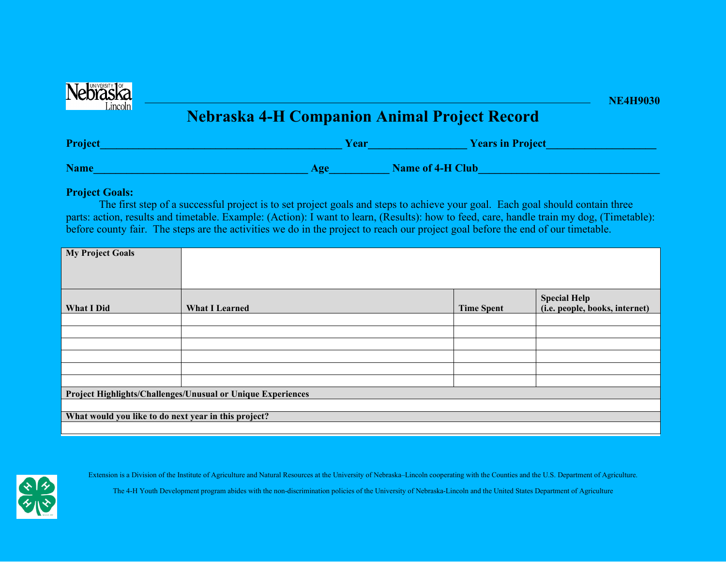

## **Nebraska 4-H Companion Animal Project Record**

| Project     | Year                   | <b>Years in Project</b> |
|-------------|------------------------|-------------------------|
| <b>Name</b> | $\bf{A} \bf{C} \bf{C}$ | <b>Name of 4-H Club</b> |

## **Project Goals:**

The first step of a successful project is to set project goals and steps to achieve your goal. Each goal should contain three parts: action, results and timetable. Example: (Action): I want to learn, (Results): how to feed, care, handle train my dog, (Timetable): before county fair. The steps are the activities we do in the project to reach our project goal before the end of our timetable.

| <b>My Project Goals</b>                                     |                       |                   |                                                       |  |  |  |
|-------------------------------------------------------------|-----------------------|-------------------|-------------------------------------------------------|--|--|--|
| What I Did                                                  | <b>What I Learned</b> | <b>Time Spent</b> | <b>Special Help</b><br>(i.e. people, books, internet) |  |  |  |
|                                                             |                       |                   |                                                       |  |  |  |
|                                                             |                       |                   |                                                       |  |  |  |
|                                                             |                       |                   |                                                       |  |  |  |
|                                                             |                       |                   |                                                       |  |  |  |
|                                                             |                       |                   |                                                       |  |  |  |
|                                                             |                       |                   |                                                       |  |  |  |
| Project Highlights/Challenges/Unusual or Unique Experiences |                       |                   |                                                       |  |  |  |
|                                                             |                       |                   |                                                       |  |  |  |
| What would you like to do next year in this project?        |                       |                   |                                                       |  |  |  |
|                                                             |                       |                   |                                                       |  |  |  |



Extension is a Division of the Institute of Agriculture and Natural Resources at the University of Nebraska–Lincoln cooperating with the Counties and the U.S. Department of Agriculture.

The 4-H Youth Development program abides with the non-discrimination policies of the University of Nebraska-Lincoln and the United States Department of Agriculture